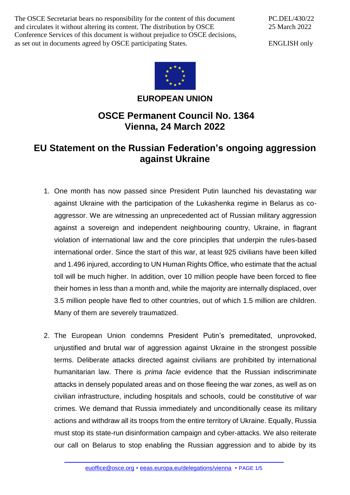The OSCE Secretariat bears no responsibility for the content of this document and circulates it without altering its content. The distribution by OSCE Conference Services of this document is without prejudice to OSCE decisions, as set out in documents agreed by OSCE participating States.

PC.DEL/430/22 25 March 2022

ENGLISH only



**EUROPEAN UNION**

## **OSCE Permanent Council No. 1364 Vienna, 24 March 2022**

## **EU Statement on the Russian Federation's ongoing aggression against Ukraine**

- 1. One month has now passed since President Putin launched his devastating war against Ukraine with the participation of the Lukashenka regime in Belarus as coaggressor. We are witnessing an unprecedented act of Russian military aggression against a sovereign and independent neighbouring country, Ukraine, in flagrant violation of international law and the core principles that underpin the rules-based international order. Since the start of this war, at least 925 civilians have been killed and 1.496 injured, according to UN Human Rights Office, who estimate that the actual toll will be much higher. In addition, over 10 million people have been forced to flee their homes in less than a month and, while the majority are internally displaced, over 3.5 million people have fled to other countries, out of which 1.5 million are children. Many of them are severely traumatized.
- 2. The European Union condemns President Putin's premeditated, unprovoked, unjustified and brutal war of aggression against Ukraine in the strongest possible terms. Deliberate attacks directed against civilians are prohibited by international humanitarian law. There is *prima facie* evidence that the Russian indiscriminate attacks in densely populated areas and on those fleeing the war zones, as well as on civilian infrastructure, including hospitals and schools, could be constitutive of war crimes. We demand that Russia immediately and unconditionally cease its military actions and withdraw all its troops from the entire territory of Ukraine. Equally, Russia must stop its state-run disinformation campaign and cyber-attacks. We also reiterate our call on Belarus to stop enabling the Russian aggression and to abide by its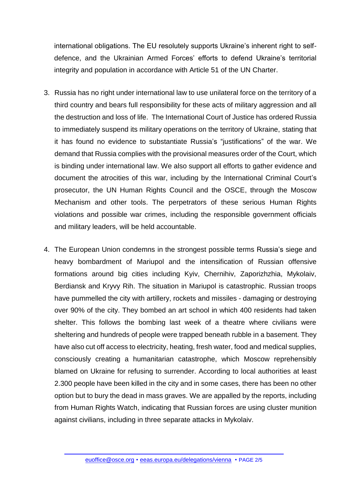international obligations. The EU resolutely supports Ukraine's inherent right to selfdefence, and the Ukrainian Armed Forces' efforts to defend Ukraine's territorial integrity and population in accordance with Article 51 of the UN Charter.

- 3. Russia has no right under international law to use unilateral force on the territory of a third country and bears full responsibility for these acts of military aggression and all the destruction and loss of life. The International Court of Justice has ordered Russia to immediately suspend its military operations on the territory of Ukraine, stating that it has found no evidence to substantiate Russia's "justifications" of the war. We demand that Russia complies with the provisional measures order of the Court, which is binding under international law. We also support all efforts to gather evidence and document the atrocities of this war, including by the International Criminal Court's prosecutor, the UN Human Rights Council and the OSCE, through the Moscow Mechanism and other tools. The perpetrators of these serious Human Rights violations and possible war crimes, including the responsible government officials and military leaders, will be held accountable.
- 4. The European Union condemns in the strongest possible terms Russia's siege and heavy bombardment of Mariupol and the intensification of Russian offensive formations around big cities including Kyiv, Chernihiv, Zaporizhzhia, Mykolaiv, Berdiansk and Kryvy Rih. The situation in Mariupol is catastrophic. Russian troops have pummelled the city with artillery, rockets and missiles - damaging or destroying over 90% of the city. They bombed an art school in which 400 residents had taken shelter. This follows the bombing last week of a theatre where civilians were sheltering and hundreds of people were trapped beneath rubble in a basement. They have also cut off access to electricity, heating, fresh water, food and medical supplies, consciously creating a humanitarian catastrophe, which Moscow reprehensibly blamed on Ukraine for refusing to surrender. According to local authorities at least 2.300 people have been killed in the city and in some cases, there has been no other option but to bury the dead in mass graves. We are appalled by the reports, including from Human Rights Watch, indicating that Russian forces are using cluster munition against civilians, including in three separate attacks in Mykolaiv.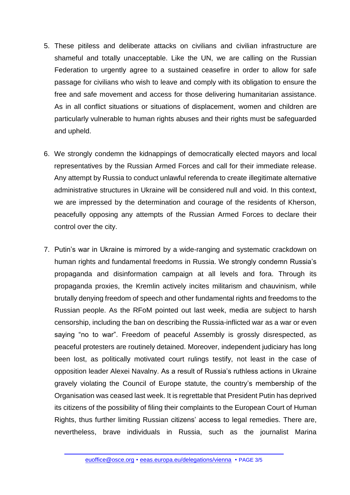- 5. These pitiless and deliberate attacks on civilians and civilian infrastructure are shameful and totally unacceptable. Like the UN, we are calling on the Russian Federation to urgently agree to a sustained ceasefire in order to allow for safe passage for civilians who wish to leave and comply with its obligation to ensure the free and safe movement and access for those delivering humanitarian assistance. As in all conflict situations or situations of displacement, women and children are particularly vulnerable to human rights abuses and their rights must be safeguarded and upheld.
- 6. We strongly condemn the kidnappings of democratically elected mayors and local representatives by the Russian Armed Forces and call for their immediate release. Any attempt by Russia to conduct unlawful referenda to create illegitimate alternative administrative structures in Ukraine will be considered null and void. In this context, we are impressed by the determination and courage of the residents of Kherson, peacefully opposing any attempts of the Russian Armed Forces to declare their control over the city.
- 7. Putin's war in Ukraine is mirrored by a wide-ranging and systematic crackdown on human rights and fundamental freedoms in Russia. We strongly condemn Russia's propaganda and disinformation campaign at all levels and fora. Through its propaganda proxies, the Kremlin actively incites militarism and chauvinism, while brutally denying freedom of speech and other fundamental rights and freedoms to the Russian people. As the RFoM pointed out last week, media are subject to harsh censorship, including the ban on describing the Russia-inflicted war as a war or even saying "no to war". Freedom of peaceful Assembly is grossly disrespected, as peaceful protesters are routinely detained. Moreover, independent judiciary has long been lost, as politically motivated court rulings testify, not least in the case of opposition leader Alexei Navalny. As a result of Russia's ruthless actions in Ukraine gravely violating the Council of Europe statute, the country's membership of the Organisation was ceased last week. It is regrettable that President Putin has deprived its citizens of the possibility of filing their complaints to the European Court of Human Rights, thus further limiting Russian citizens' access to legal remedies. There are, nevertheless, brave individuals in Russia, such as the journalist Marina

[euoffice@osce.org](mailto:euoffice@osce.org) • [eeas.europa.eu/delegations/vienna](http://eeas.europa.eu/delegations/vienna) • PAGE 3/5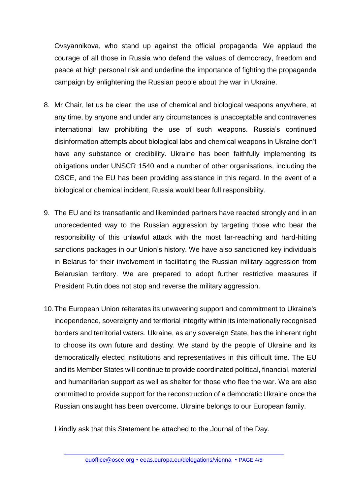Ovsyannikova, who stand up against the official propaganda. We applaud the courage of all those in Russia who defend the values of democracy, freedom and peace at high personal risk and underline the importance of fighting the propaganda campaign by enlightening the Russian people about the war in Ukraine.

- 8. Mr Chair, let us be clear: the use of chemical and biological weapons anywhere, at any time, by anyone and under any circumstances is unacceptable and contravenes international law prohibiting the use of such weapons. Russia's continued disinformation attempts about biological labs and chemical weapons in Ukraine don't have any substance or credibility. Ukraine has been faithfully implementing its obligations under UNSCR 1540 and a number of other organisations, including the OSCE, and the EU has been providing assistance in this regard. In the event of a biological or chemical incident, Russia would bear full responsibility.
- 9. The EU and its transatlantic and likeminded partners have reacted strongly and in an unprecedented way to the Russian aggression by targeting those who bear the responsibility of this unlawful attack with the most far-reaching and hard-hitting sanctions packages in our Union's history. We have also sanctioned key individuals in Belarus for their involvement in facilitating the Russian military aggression from Belarusian territory. We are prepared to adopt further restrictive measures if President Putin does not stop and reverse the military aggression.
- 10.The European Union reiterates its unwavering support and commitment to Ukraine's independence, sovereignty and territorial integrity within its internationally recognised borders and territorial waters. Ukraine, as any sovereign State, has the inherent right to choose its own future and destiny. We stand by the people of Ukraine and its democratically elected institutions and representatives in this difficult time. The EU and its Member States will continue to provide coordinated political, financial, material and humanitarian support as well as shelter for those who flee the war. We are also committed to provide support for the reconstruction of a democratic Ukraine once the Russian onslaught has been overcome. Ukraine belongs to our European family.

I kindly ask that this Statement be attached to the Journal of the Day.

[euoffice@osce.org](mailto:euoffice@osce.org) • [eeas.europa.eu/delegations/vienna](http://eeas.europa.eu/delegations/vienna) • PAGE 4/5